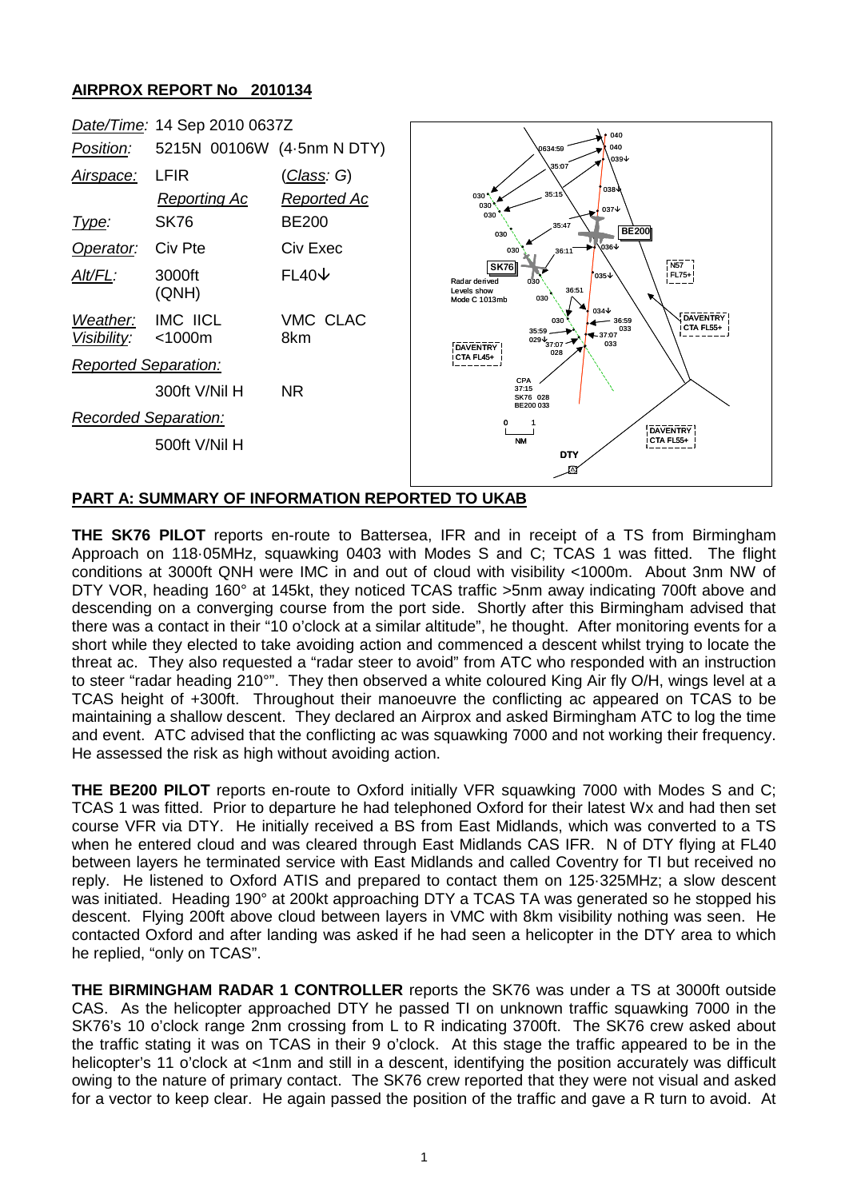## **AIRPROX REPORT No 2010134**



## **PART A: SUMMARY OF INFORMATION REPORTED TO UKAB**

**THE SK76 PILOT** reports en-route to Battersea, IFR and in receipt of a TS from Birmingham Approach on 118·05MHz, squawking 0403 with Modes S and C; TCAS 1 was fitted. The flight conditions at 3000ft QNH were IMC in and out of cloud with visibility <1000m. About 3nm NW of DTY VOR, heading 160° at 145kt, they noticed TCAS traffic >5nm away indicating 700ft above and descending on a converging course from the port side. Shortly after this Birmingham advised that there was a contact in their "10 o'clock at a similar altitude", he thought. After monitoring events for a short while they elected to take avoiding action and commenced a descent whilst trying to locate the threat ac. They also requested a "radar steer to avoid" from ATC who responded with an instruction to steer "radar heading 210°". They then observed a white coloured King Air fly O/H, wings level at a TCAS height of +300ft. Throughout their manoeuvre the conflicting ac appeared on TCAS to be maintaining a shallow descent. They declared an Airprox and asked Birmingham ATC to log the time and event. ATC advised that the conflicting ac was squawking 7000 and not working their frequency. He assessed the risk as high without avoiding action.

**THE BE200 PILOT** reports en-route to Oxford initially VFR squawking 7000 with Modes S and C; TCAS 1 was fitted. Prior to departure he had telephoned Oxford for their latest Wx and had then set course VFR via DTY. He initially received a BS from East Midlands, which was converted to a TS when he entered cloud and was cleared through East Midlands CAS IFR. N of DTY flying at FL40 between layers he terminated service with East Midlands and called Coventry for TI but received no reply. He listened to Oxford ATIS and prepared to contact them on 125·325MHz; a slow descent was initiated. Heading 190° at 200kt approaching DTY a TCAS TA was generated so he stopped his descent. Flying 200ft above cloud between layers in VMC with 8km visibility nothing was seen. He contacted Oxford and after landing was asked if he had seen a helicopter in the DTY area to which he replied, "only on TCAS".

**THE BIRMINGHAM RADAR 1 CONTROLLER** reports the SK76 was under a TS at 3000ft outside CAS. As the helicopter approached DTY he passed TI on unknown traffic squawking 7000 in the SK76's 10 o'clock range 2nm crossing from L to R indicating 3700ft. The SK76 crew asked about the traffic stating it was on TCAS in their 9 o'clock. At this stage the traffic appeared to be in the helicopter's 11 o'clock at <1nm and still in a descent, identifying the position accurately was difficult owing to the nature of primary contact. The SK76 crew reported that they were not visual and asked for a vector to keep clear. He again passed the position of the traffic and gave a R turn to avoid. At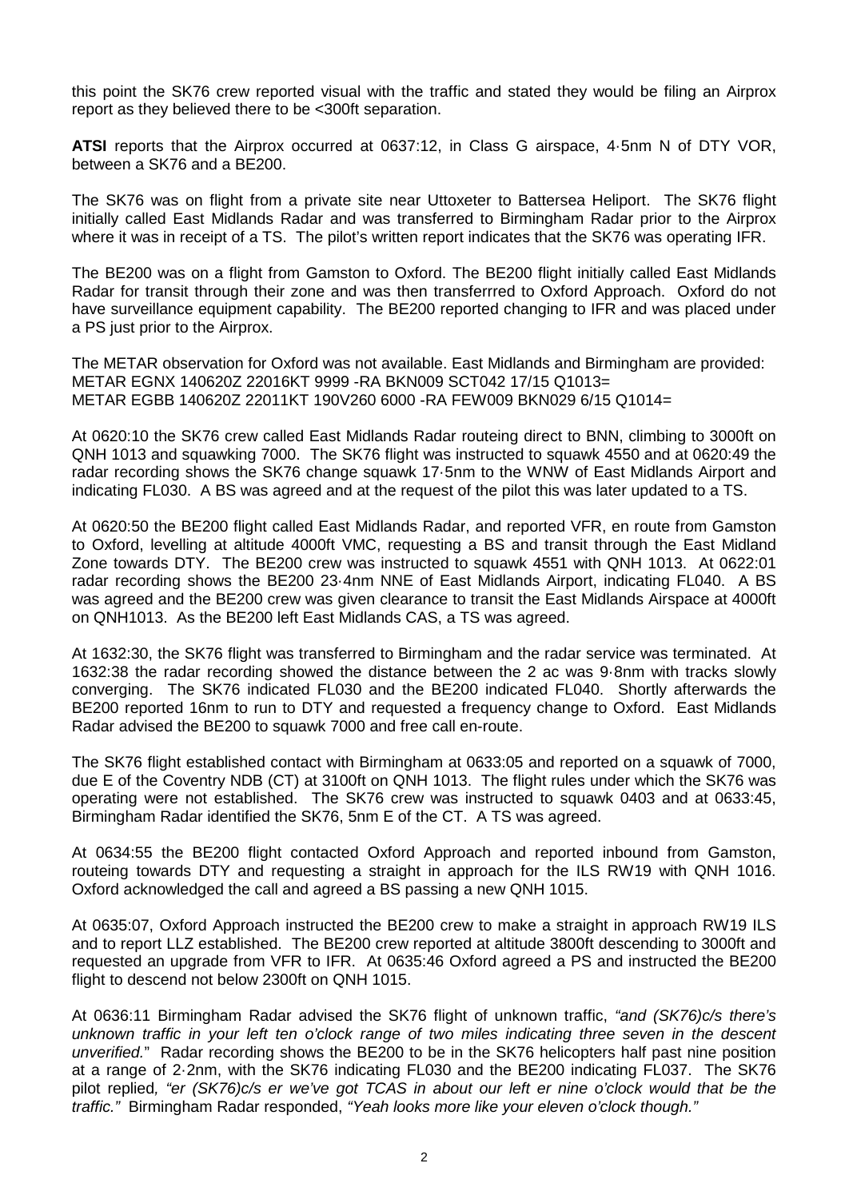this point the SK76 crew reported visual with the traffic and stated they would be filing an Airprox report as they believed there to be <300ft separation.

**ATSI** reports that the Airprox occurred at 0637:12, in Class G airspace, 4·5nm N of DTY VOR, between a SK76 and a BE200.

The SK76 was on flight from a private site near Uttoxeter to Battersea Heliport. The SK76 flight initially called East Midlands Radar and was transferred to Birmingham Radar prior to the Airprox where it was in receipt of a TS. The pilot's written report indicates that the SK76 was operating IFR.

The BE200 was on a flight from Gamston to Oxford. The BE200 flight initially called East Midlands Radar for transit through their zone and was then transferrred to Oxford Approach. Oxford do not have surveillance equipment capability. The BE200 reported changing to IFR and was placed under a PS just prior to the Airprox.

The METAR observation for Oxford was not available. East Midlands and Birmingham are provided: METAR EGNX 140620Z 22016KT 9999 -RA BKN009 SCT042 17/15 Q1013= METAR EGBB 140620Z 22011KT 190V260 6000 -RA FEW009 BKN029 6/15 Q1014=

At 0620:10 the SK76 crew called East Midlands Radar routeing direct to BNN, climbing to 3000ft on QNH 1013 and squawking 7000. The SK76 flight was instructed to squawk 4550 and at 0620:49 the radar recording shows the SK76 change squawk 17·5nm to the WNW of East Midlands Airport and indicating FL030. A BS was agreed and at the request of the pilot this was later updated to a TS.

At 0620:50 the BE200 flight called East Midlands Radar, and reported VFR, en route from Gamston to Oxford, levelling at altitude 4000ft VMC, requesting a BS and transit through the East Midland Zone towards DTY. The BE200 crew was instructed to squawk 4551 with QNH 1013. At 0622:01 radar recording shows the BE200 23·4nm NNE of East Midlands Airport, indicating FL040. A BS was agreed and the BE200 crew was given clearance to transit the East Midlands Airspace at 4000ft on QNH1013. As the BE200 left East Midlands CAS, a TS was agreed.

At 1632:30, the SK76 flight was transferred to Birmingham and the radar service was terminated. At 1632:38 the radar recording showed the distance between the 2 ac was 9·8nm with tracks slowly converging. The SK76 indicated FL030 and the BE200 indicated FL040. Shortly afterwards the BE200 reported 16nm to run to DTY and requested a frequency change to Oxford. East Midlands Radar advised the BE200 to squawk 7000 and free call en-route.

The SK76 flight established contact with Birmingham at 0633:05 and reported on a squawk of 7000, due E of the Coventry NDB (CT) at 3100ft on QNH 1013. The flight rules under which the SK76 was operating were not established. The SK76 crew was instructed to squawk 0403 and at 0633:45, Birmingham Radar identified the SK76, 5nm E of the CT. A TS was agreed.

At 0634:55 the BE200 flight contacted Oxford Approach and reported inbound from Gamston, routeing towards DTY and requesting a straight in approach for the ILS RW19 with QNH 1016. Oxford acknowledged the call and agreed a BS passing a new QNH 1015.

At 0635:07, Oxford Approach instructed the BE200 crew to make a straight in approach RW19 ILS and to report LLZ established. The BE200 crew reported at altitude 3800ft descending to 3000ft and requested an upgrade from VFR to IFR. At 0635:46 Oxford agreed a PS and instructed the BE200 flight to descend not below 2300ft on QNH 1015.

At 0636:11 Birmingham Radar advised the SK76 flight of unknown traffic, *"and (SK76)c/s there's unknown traffic in your left ten o'clock range of two miles indicating three seven in the descent unverified.*" Radar recording shows the BE200 to be in the SK76 helicopters half past nine position at a range of 2·2nm, with the SK76 indicating FL030 and the BE200 indicating FL037. The SK76 pilot replied*, "er (SK76)c/s er we've got TCAS in about our left er nine o'clock would that be the traffic."* Birmingham Radar responded, *"Yeah looks more like your eleven o'clock though."*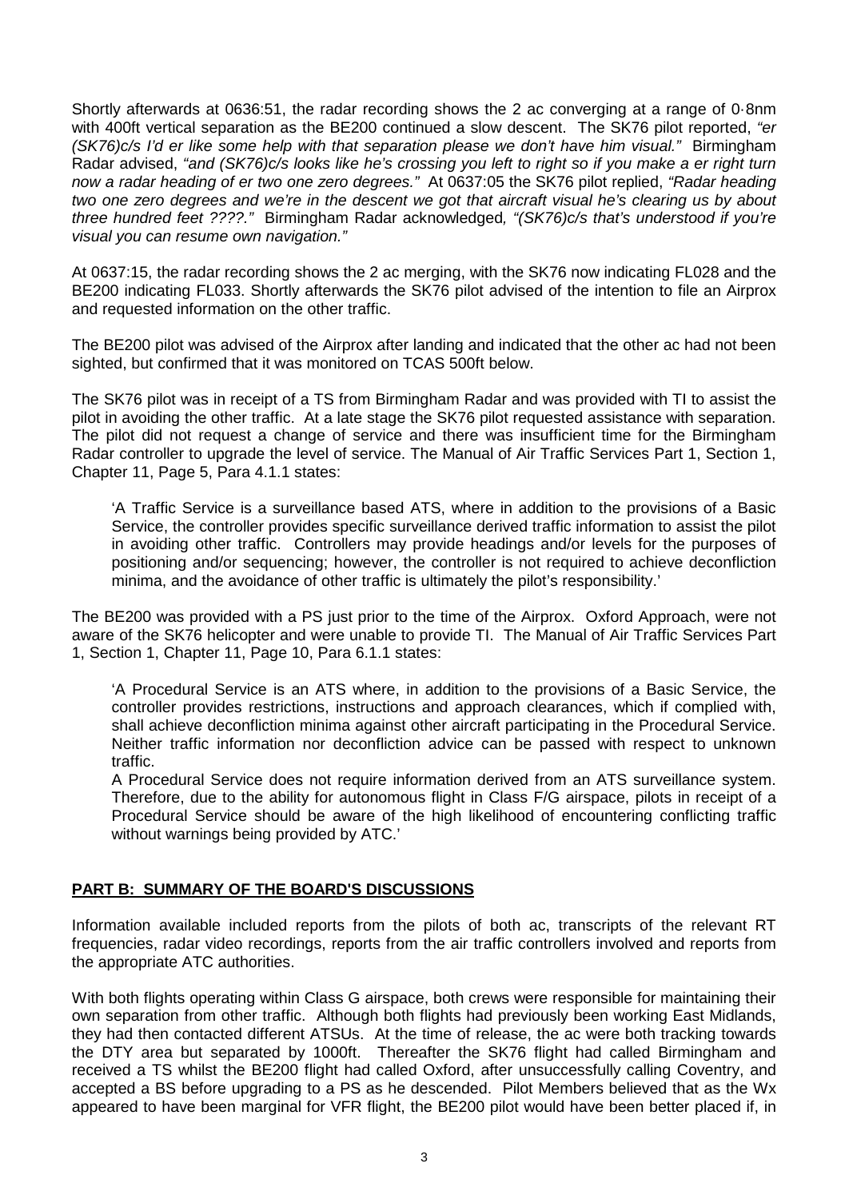Shortly afterwards at 0636:51, the radar recording shows the 2 ac converging at a range of 0·8nm with 400ft vertical separation as the BE200 continued a slow descent. The SK76 pilot reported, *"er (SK76)c/s I'd er like some help with that separation please we don't have him visual."* Birmingham Radar advised, *"and (SK76)c/s looks like he's crossing you left to right so if you make a er right turn now a radar heading of er two one zero degrees."* At 0637:05 the SK76 pilot replied, *"Radar heading two one zero degrees and we're in the descent we got that aircraft visual he's clearing us by about three hundred feet ????."* Birmingham Radar acknowledged*, "(SK76)c/s that's understood if you're visual you can resume own navigation."*

At 0637:15, the radar recording shows the 2 ac merging, with the SK76 now indicating FL028 and the BE200 indicating FL033. Shortly afterwards the SK76 pilot advised of the intention to file an Airprox and requested information on the other traffic.

The BE200 pilot was advised of the Airprox after landing and indicated that the other ac had not been sighted, but confirmed that it was monitored on TCAS 500ft below.

The SK76 pilot was in receipt of a TS from Birmingham Radar and was provided with TI to assist the pilot in avoiding the other traffic. At a late stage the SK76 pilot requested assistance with separation. The pilot did not request a change of service and there was insufficient time for the Birmingham Radar controller to upgrade the level of service. The Manual of Air Traffic Services Part 1, Section 1, Chapter 11, Page 5, Para 4.1.1 states:

'A Traffic Service is a surveillance based ATS, where in addition to the provisions of a Basic Service, the controller provides specific surveillance derived traffic information to assist the pilot in avoiding other traffic. Controllers may provide headings and/or levels for the purposes of positioning and/or sequencing; however, the controller is not required to achieve deconfliction minima, and the avoidance of other traffic is ultimately the pilot's responsibility.'

The BE200 was provided with a PS just prior to the time of the Airprox. Oxford Approach, were not aware of the SK76 helicopter and were unable to provide TI. The Manual of Air Traffic Services Part 1, Section 1, Chapter 11, Page 10, Para 6.1.1 states:

'A Procedural Service is an ATS where, in addition to the provisions of a Basic Service, the controller provides restrictions, instructions and approach clearances, which if complied with, shall achieve deconfliction minima against other aircraft participating in the Procedural Service. Neither traffic information nor deconfliction advice can be passed with respect to unknown traffic.

A Procedural Service does not require information derived from an ATS surveillance system. Therefore, due to the ability for autonomous flight in Class F/G airspace, pilots in receipt of a Procedural Service should be aware of the high likelihood of encountering conflicting traffic without warnings being provided by ATC.'

## **PART B: SUMMARY OF THE BOARD'S DISCUSSIONS**

Information available included reports from the pilots of both ac, transcripts of the relevant RT frequencies, radar video recordings, reports from the air traffic controllers involved and reports from the appropriate ATC authorities.

With both flights operating within Class G airspace, both crews were responsible for maintaining their own separation from other traffic. Although both flights had previously been working East Midlands, they had then contacted different ATSUs. At the time of release, the ac were both tracking towards the DTY area but separated by 1000ft. Thereafter the SK76 flight had called Birmingham and received a TS whilst the BE200 flight had called Oxford, after unsuccessfully calling Coventry, and accepted a BS before upgrading to a PS as he descended. Pilot Members believed that as the Wx appeared to have been marginal for VFR flight, the BE200 pilot would have been better placed if, in